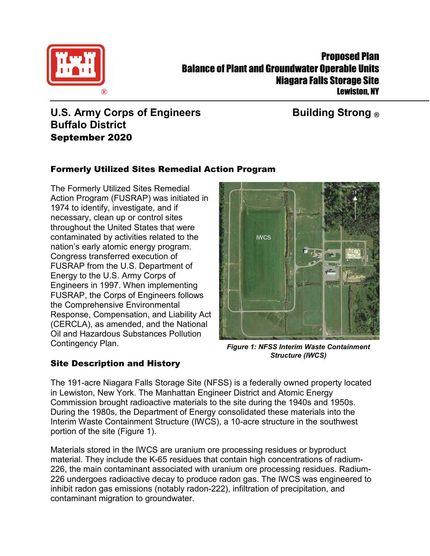

# **U.S. Army Corps of Engineers Building Strong ® Buffalo District** September 2020

# Formerly Utilized Sites Remedial Action Program

The Formerly Utilized Sites Remedial Action Program (FUSRAP) was initiated in 1974 to identify, investigate, and if necessary, clean up or control sites throughout the United States that were contaminated by activities related to the nation's early atomic energy program. Congress transferred execution of FUSRAP from the U.S. Department of Energy to the U.S. Army Corps of Engineers in 1997. When implementing FUSRAP, the Corps of Engineers follows the Comprehensive Environmental Response, Compensation, and Liability Act (CERCLA), as amended, and the National Oil and Hazardous Substances Pollution Contingency Plan.

Site Description and History



*Figure 1: NFSS Interim Waste Containment Structure (IWCS)*

The 191-acre Niagara Falls Storage Site (NFSS) is a federally owned property located in Lewiston, New York. The Manhattan Engineer District and Atomic Energy Commission brought radioactive materials to the site during the 1940s and 1950s. During the 1980s, the Department of Energy consolidated these materials into the Interim Waste Containment Structure (IWCS), a 10-acre structure in the southwest portion of the site (Figure 1).

Materials stored in the IWCS are uranium ore processing residues or byproduct material. They include the K-65 residues that contain high concentrations of radium-226, the main contaminant associated with uranium ore processing residues. Radium-226 undergoes radioactive decay to produce radon gas. The IWCS was engineered to inhibit radon gas emissions (notably radon-222), infiltration of precipitation, and contaminant migration to groundwater.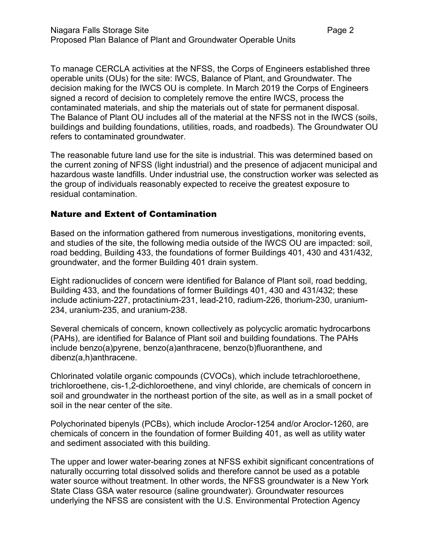To manage CERCLA activities at the NFSS, the Corps of Engineers established three operable units (OUs) for the site: IWCS, Balance of Plant, and Groundwater. The decision making for the IWCS OU is complete. In March 2019 the Corps of Engineers signed a record of decision to completely remove the entire IWCS, process the contaminated materials, and ship the materials out of state for permanent disposal. The Balance of Plant OU includes all of the material at the NFSS not in the IWCS (soils, buildings and building foundations, utilities, roads, and roadbeds). The Groundwater OU refers to contaminated groundwater.

The reasonable future land use for the site is industrial. This was determined based on the current zoning of NFSS (light industrial) and the presence of adjacent municipal and hazardous waste landfills. Under industrial use, the construction worker was selected as the group of individuals reasonably expected to receive the greatest exposure to residual contamination.

## Nature and Extent of Contamination

Based on the information gathered from numerous investigations, monitoring events, and studies of the site, the following media outside of the IWCS OU are impacted: soil, road bedding, Building 433, the foundations of former Buildings 401, 430 and 431/432, groundwater, and the former Building 401 drain system.

Eight radionuclides of concern were identified for Balance of Plant soil, road bedding, Building 433, and the foundations of former Buildings 401, 430 and 431/432; these include actinium-227, protactinium-231, lead-210, radium-226, thorium-230, uranium-234, uranium-235, and uranium-238.

Several chemicals of concern, known collectively as polycyclic aromatic hydrocarbons (PAHs), are identified for Balance of Plant soil and building foundations. The PAHs include benzo(a)pyrene, benzo(a)anthracene, benzo(b)fluoranthene, and dibenz(a,h)anthracene.

Chlorinated volatile organic compounds (CVOCs), which include tetrachloroethene, trichloroethene, cis-1,2-dichloroethene, and vinyl chloride, are chemicals of concern in soil and groundwater in the northeast portion of the site, as well as in a small pocket of soil in the near center of the site.

Polychorinated bipenyls (PCBs), which include Aroclor-1254 and/or Aroclor-1260, are chemicals of concern in the foundation of former Building 401, as well as utility water and sediment associated with this building.

The upper and lower water-bearing zones at NFSS exhibit significant concentrations of naturally occurring total dissolved solids and therefore cannot be used as a potable water source without treatment. In other words, the NFSS groundwater is a New York State Class GSA water resource (saline groundwater). Groundwater resources underlying the NFSS are consistent with the U.S. Environmental Protection Agency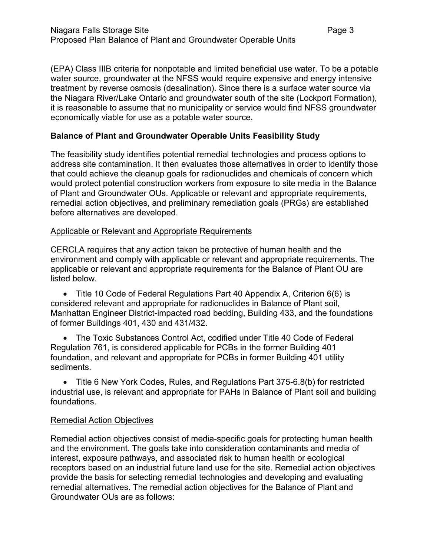(EPA) Class IIIB criteria for nonpotable and limited beneficial use water. To be a potable water source, groundwater at the NFSS would require expensive and energy intensive treatment by reverse osmosis (desalination). Since there is a surface water source via the Niagara River/Lake Ontario and groundwater south of the site (Lockport Formation), it is reasonable to assume that no municipality or service would find NFSS groundwater economically viable for use as a potable water source.

#### **Balance of Plant and Groundwater Operable Units Feasibility Study**

The feasibility study identifies potential remedial technologies and process options to address site contamination. It then evaluates those alternatives in order to identify those that could achieve the cleanup goals for radionuclides and chemicals of concern which would protect potential construction workers from exposure to site media in the Balance of Plant and Groundwater OUs. Applicable or relevant and appropriate requirements, remedial action objectives, and preliminary remediation goals (PRGs) are established before alternatives are developed.

#### Applicable or Relevant and Appropriate Requirements

CERCLA requires that any action taken be protective of human health and the environment and comply with applicable or relevant and appropriate requirements. The applicable or relevant and appropriate requirements for the Balance of Plant OU are listed below.

• Title 10 Code of Federal Regulations Part 40 Appendix A, Criterion 6(6) is considered relevant and appropriate for radionuclides in Balance of Plant soil, Manhattan Engineer District-impacted road bedding, Building 433, and the foundations of former Buildings 401, 430 and 431/432.

• The Toxic Substances Control Act, codified under Title 40 Code of Federal Regulation 761, is considered applicable for PCBs in the former Building 401 foundation, and relevant and appropriate for PCBs in former Building 401 utility sediments.

• Title 6 New York Codes, Rules, and Regulations Part 375-6.8(b) for restricted industrial use, is relevant and appropriate for PAHs in Balance of Plant soil and building foundations.

#### Remedial Action Objectives

Remedial action objectives consist of media-specific goals for protecting human health and the environment. The goals take into consideration contaminants and media of interest, exposure pathways, and associated risk to human health or ecological receptors based on an industrial future land use for the site. Remedial action objectives provide the basis for selecting remedial technologies and developing and evaluating remedial alternatives. The remedial action objectives for the Balance of Plant and Groundwater OUs are as follows: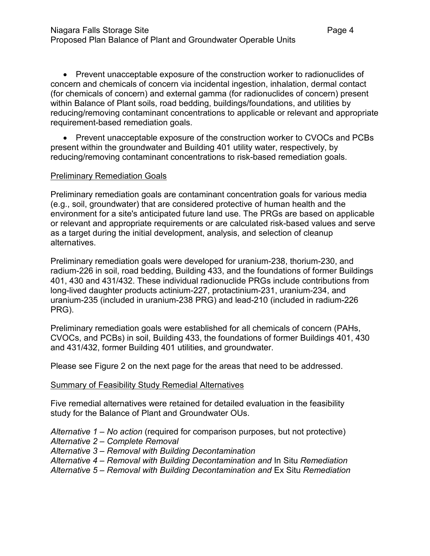• Prevent unacceptable exposure of the construction worker to radionuclides of concern and chemicals of concern via incidental ingestion, inhalation, dermal contact (for chemicals of concern) and external gamma (for radionuclides of concern) present within Balance of Plant soils, road bedding, buildings/foundations, and utilities by reducing/removing contaminant concentrations to applicable or relevant and appropriate requirement-based remediation goals.

• Prevent unacceptable exposure of the construction worker to CVOCs and PCBs present within the groundwater and Building 401 utility water, respectively, by reducing/removing contaminant concentrations to risk-based remediation goals.

#### Preliminary Remediation Goals

Preliminary remediation goals are contaminant concentration goals for various media (e.g., soil, groundwater) that are considered protective of human health and the environment for a site's anticipated future land use. The PRGs are based on applicable or relevant and appropriate requirements or are calculated risk-based values and serve as a target during the initial development, analysis, and selection of cleanup alternatives.

Preliminary remediation goals were developed for uranium-238, thorium-230, and radium-226 in soil, road bedding, Building 433, and the foundations of former Buildings 401, 430 and 431/432. These individual radionuclide PRGs include contributions from long-lived daughter products actinium-227, protactinium-231, uranium-234, and uranium-235 (included in uranium-238 PRG) and lead-210 (included in radium-226 PRG).

Preliminary remediation goals were established for all chemicals of concern (PAHs, CVOCs, and PCBs) in soil, Building 433, the foundations of former Buildings 401, 430 and 431/432, former Building 401 utilities, and groundwater.

Please see Figure 2 on the next page for the areas that need to be addressed.

#### Summary of Feasibility Study Remedial Alternatives

Five remedial alternatives were retained for detailed evaluation in the feasibility study for the Balance of Plant and Groundwater OUs.

*Alternative 1 – No action* (required for comparison purposes, but not protective) *Alternative 2 – Complete Removal Alternative 3 – Removal with Building Decontamination Alternative 4 – Removal with Building Decontamination and* In Situ *Remediation Alternative 5 – Removal with Building Decontamination and* Ex Situ *Remediation*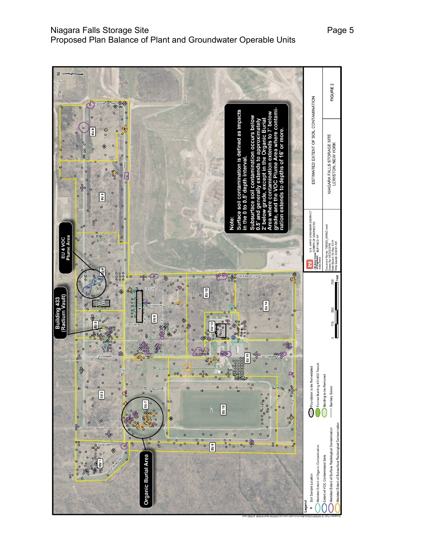

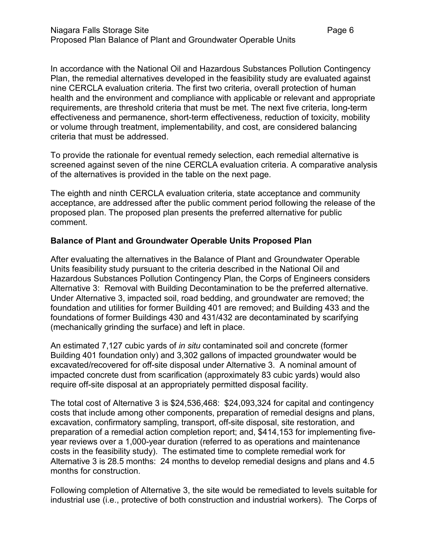In accordance with the National Oil and Hazardous Substances Pollution Contingency Plan, the remedial alternatives developed in the feasibility study are evaluated against nine CERCLA evaluation criteria. The first two criteria, overall protection of human health and the environment and compliance with applicable or relevant and appropriate requirements, are threshold criteria that must be met. The next five criteria, long-term effectiveness and permanence, short-term effectiveness, reduction of toxicity, mobility or volume through treatment, implementability, and cost, are considered balancing criteria that must be addressed.

To provide the rationale for eventual remedy selection, each remedial alternative is screened against seven of the nine CERCLA evaluation criteria. A comparative analysis of the alternatives is provided in the table on the next page.

The eighth and ninth CERCLA evaluation criteria, state acceptance and community acceptance, are addressed after the public comment period following the release of the proposed plan. The proposed plan presents the preferred alternative for public comment.

#### **Balance of Plant and Groundwater Operable Units Proposed Plan**

After evaluating the alternatives in the Balance of Plant and Groundwater Operable Units feasibility study pursuant to the criteria described in the National Oil and Hazardous Substances Pollution Contingency Plan, the Corps of Engineers considers Alternative 3: Removal with Building Decontamination to be the preferred alternative. Under Alternative 3, impacted soil, road bedding, and groundwater are removed; the foundation and utilities for former Building 401 are removed; and Building 433 and the foundations of former Buildings 430 and 431/432 are decontaminated by scarifying (mechanically grinding the surface) and left in place.

An estimated 7,127 cubic yards of *in situ* contaminated soil and concrete (former Building 401 foundation only) and 3,302 gallons of impacted groundwater would be excavated/recovered for off-site disposal under Alternative 3. A nominal amount of impacted concrete dust from scarification (approximately 83 cubic yards) would also require off-site disposal at an appropriately permitted disposal facility.

The total cost of Alternative 3 is \$24,536,468: \$24,093,324 for capital and contingency costs that include among other components, preparation of remedial designs and plans, excavation, confirmatory sampling, transport, off-site disposal, site restoration, and preparation of a remedial action completion report; and, \$414,153 for implementing fiveyear reviews over a 1,000-year duration (referred to as operations and maintenance costs in the feasibility study). The estimated time to complete remedial work for Alternative 3 is 28.5 months: 24 months to develop remedial designs and plans and 4.5 months for construction.

Following completion of Alternative 3, the site would be remediated to levels suitable for industrial use (i.e., protective of both construction and industrial workers). The Corps of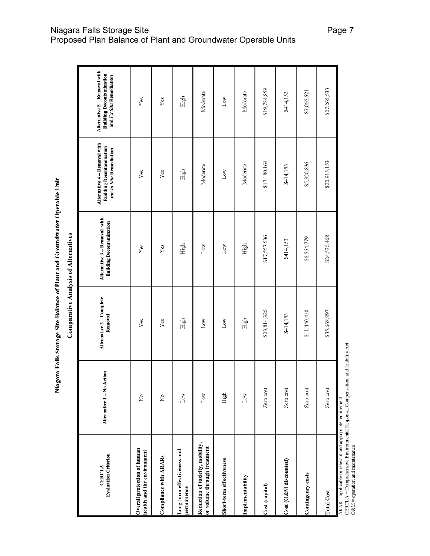| ì                     |
|-----------------------|
| í                     |
| j                     |
|                       |
| Ì                     |
|                       |
| $\frac{1}{\zeta}$     |
| ;<br>O<br>ļ<br>֚֓     |
| i<br>I                |
| <b>The month</b><br>D |

₩

**Comparative Analysis of Alternatives** 

| <b>Evaluation Criterion</b><br><b>CERCLA</b>                    | Ξ<br>Alternative 1-No Actio    | Alternative 2 - Complete<br>Removal | Alternative 3 - Removal with<br><b>Building Decontamination</b> | Alternative 4 - Removal with<br><b>Building Decontamination</b><br>and In Situ Remediation | Alternative 5 - Removal with<br><b>Building Decontamination</b><br>and Ex Situ Remediation |
|-----------------------------------------------------------------|--------------------------------|-------------------------------------|-----------------------------------------------------------------|--------------------------------------------------------------------------------------------|--------------------------------------------------------------------------------------------|
| Overall protection of human<br>health and the environment       | $\frac{1}{2}$                  | $\rm Yes$                           | Yes                                                             | $\rm Yes$                                                                                  | $\Upsilon$ es                                                                              |
| Compliance with ARARs                                           | $\stackrel{\circ}{\mathsf{Z}}$ | $\mathbf{Yes}$                      | $\rm Yes$                                                       | $\mathbf{Yes}$                                                                             | $\Upsilon$ es                                                                              |
| Long-term effectiveness and<br>permanence                       | $_{\rm Low}$                   | High                                | High                                                            | High                                                                                       | High                                                                                       |
| Reduction of toxicity, mobility,<br>or volume through treatment | $_{\rm Low}$                   | Low                                 | $_{\rm Low}$                                                    | Moderate                                                                                   | Moderate                                                                                   |
| Short-term effectiveness                                        | High                           | Low                                 | $_{\rm Low}$                                                    | $_{\rm Low}$                                                                               | $_{\rm Low}$                                                                               |
| Implementability                                                | $_{\rm Low}$                   | High                                | High                                                            | Moderate                                                                                   | Moderate                                                                                   |
| Cost (capital)                                                  | Zero cost                      | \$23,814,326                        | \$17,557,536                                                    | \$17,180,164                                                                               | \$19,784,859                                                                               |
| Cost (O&M discounted)                                           | Zero cost                      | \$414,153                           | \$414,153                                                       | \$414,153                                                                                  | \$414,153                                                                                  |
| Contingency costs                                               | Zero cost                      | \$11,440,418                        | \$6,564,779                                                     | \$5,320,836                                                                                | \$7,066,521                                                                                |
| <b>Total Cost</b>                                               | Zero cost                      | \$35,668,897                        | \$24,536,468                                                    | \$22,915,153                                                                               | \$27,265,533                                                                               |
| ARAR = applicable or relevant and appropriate requirement       |                                |                                     |                                                                 |                                                                                            |                                                                                            |

Niagara Falls Storage Site Page 7 (Page 7  $\,$ Proposed Plan Balance of Plant and Groundwater Operable Units